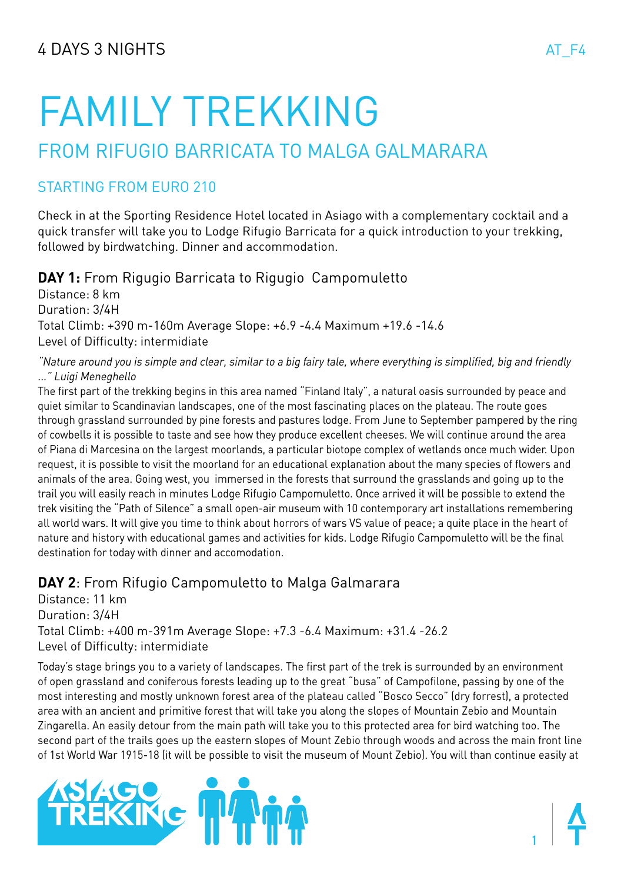# FAMILY TREKKING

## FROM RIFUGIO BARRICATA TO MALGA GALMARARA

## starting from euro 210

Check in at the Sporting Residence Hotel located in Asiago with a complementary cocktail and a quick transfer will take you to Lodge Rifugio Barricata for a quick introduction to your trekking, followed by birdwatching. Dinner and accommodation.

**DAY 1:** From Rigugio Barricata to Rigugio Campomuletto

Distance: 8 km Duration: 3/4H Total Climb: +390 m-160m Average Slope: +6.9 -4.4 Maximum +19.6 -14.6 Level of Difficulty: intermidiate

"Nature around you is simple and clear, similar to a big fairy tale, where everything is simplified, big and friendly ..." Luigi Meneghello

The first part of the trekking begins in this area named "Finland Italy", a natural oasis surrounded by peace and quiet similar to Scandinavian landscapes, one of the most fascinating places on the plateau. The route goes through grassland surrounded by pine forests and pastures lodge. From June to September pampered by the ring of cowbells it is possible to taste and see how they produce excellent cheeses. We will continue around the area of Piana di Marcesina on the largest moorlands, a particular biotope complex of wetlands once much wider. Upon request, it is possible to visit the moorland for an educational explanation about the many species of flowers and animals of the area. Going west, you immersed in the forests that surround the grasslands and going up to the trail you will easily reach in minutes Lodge Rifugio Campomuletto. Once arrived it will be possible to extend the trek visiting the "Path of Silence" a small open-air museum with 10 contemporary art installations remembering all world wars. It will give you time to think about horrors of wars VS value of peace; a quite place in the heart of nature and history with educational games and activities for kids. Lodge Rifugio Campomuletto will be the final destination for today with dinner and accomodation.

## **DAY 2**: From Rifugio Campomuletto to Malga Galmarara

Distance: 11 km Duration: 3/4H Total Climb: +400 m-391m Average Slope: +7.3 -6.4 Maximum: +31.4 -26.2 Level of Difficulty: intermidiate

Today's stage brings you to a variety of landscapes. The first part of the trek is surrounded by an environment of open grassland and coniferous forests leading up to the great "busa" of Campofilone, passing by one of the most interesting and mostly unknown forest area of the plateau called "Bosco Secco" (dry forrest), a protected area with an ancient and primitive forest that will take you along the slopes of Mountain Zebio and Mountain Zingarella. An easily detour from the main path will take you to this protected area for bird watching too. The second part of the trails goes up the eastern slopes of Mount Zebio through woods and across the main front line of 1st World War 1915-18 (it will be possible to visit the museum of Mount Zebio). You will than continue easily at



**1**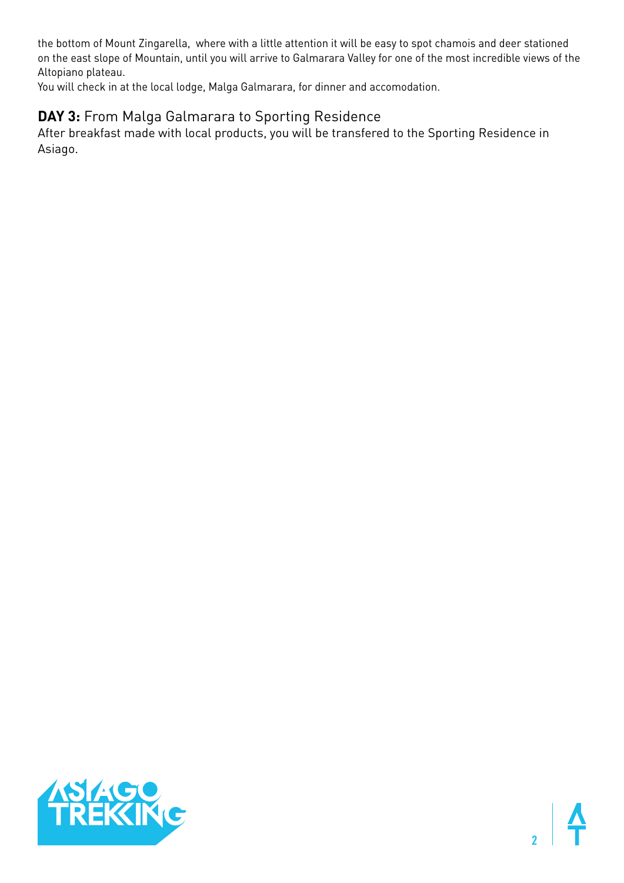the bottom of Mount Zingarella, where with a little attention it will be easy to spot chamois and deer stationed on the east slope of Mountain, until you will arrive to Galmarara Valley for one of the most incredible views of the Altopiano plateau.

You will check in at the local lodge, Malga Galmarara, for dinner and accomodation.

## **DAY 3:** From Malga Galmarara to Sporting Residence

After breakfast made with local products, you will be transfered to the Sporting Residence in Asiago.



**2**